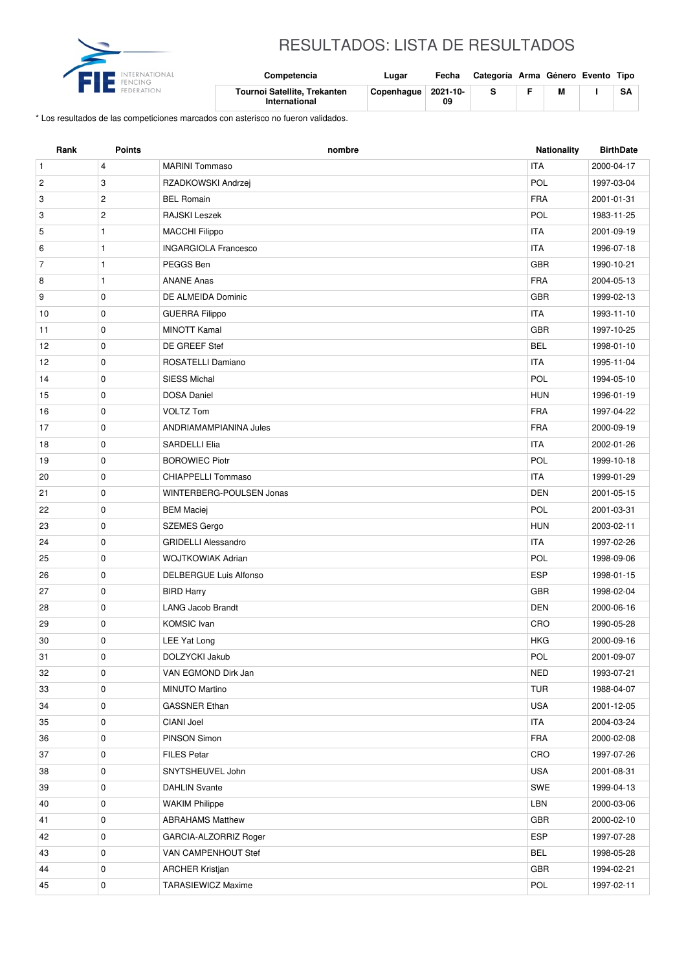

## RESULTADOS: LISTA DE RESULTADOS

| international<br>FENCING | Competencia                                   | Lugar      | Fecha          | Categoría Arma Género Evento Tipo |   |    |
|--------------------------|-----------------------------------------------|------------|----------------|-----------------------------------|---|----|
|                          | Tournoi Satellite, Trekanten<br>International | Copenhaque | 2021-10-<br>09 |                                   | М | SA |

\* Los resultados de las competiciones marcados con asterisco no fueron validados.

| Rank           | <b>Points</b>  | nombre                      | Nationality | <b>BirthDate</b> |
|----------------|----------------|-----------------------------|-------------|------------------|
| $\mathbf{1}$   | $\overline{4}$ | <b>MARINI Tommaso</b>       | <b>ITA</b>  | 2000-04-17       |
| $\overline{c}$ | 3              | RZADKOWSKI Andrzej          | POL         | 1997-03-04       |
| 3              | $\mathbf{2}$   | <b>BEL Romain</b>           | <b>FRA</b>  | 2001-01-31       |
| 3              | $\overline{c}$ | RAJSKI Leszek               | POL         | 1983-11-25       |
| 5              | $\mathbf{1}$   | <b>MACCHI Filippo</b>       | <b>ITA</b>  | 2001-09-19       |
| 6              | $\mathbf{1}$   | <b>INGARGIOLA Francesco</b> | <b>ITA</b>  | 1996-07-18       |
| $\overline{7}$ | $\mathbf{1}$   | PEGGS Ben                   | <b>GBR</b>  | 1990-10-21       |
| 8              | $\mathbf{1}$   | <b>ANANE Anas</b>           | <b>FRA</b>  | 2004-05-13       |
| 9              | $\mathbf 0$    | DE ALMEIDA Dominic          | <b>GBR</b>  | 1999-02-13       |
| 10             | 0              | <b>GUERRA Filippo</b>       | <b>ITA</b>  | 1993-11-10       |
| 11             | $\mathbf 0$    | <b>MINOTT Kamal</b>         | <b>GBR</b>  | 1997-10-25       |
| 12             | 0              | DE GREEF Stef               | <b>BEL</b>  | 1998-01-10       |
| 12             | 0              | ROSATELLI Damiano           | <b>ITA</b>  | 1995-11-04       |
| 14             | $\mathbf 0$    | <b>SIESS Michal</b>         | POL         | 1994-05-10       |
| 15             | 0              | <b>DOSA Daniel</b>          | <b>HUN</b>  | 1996-01-19       |
| 16             | 0              | <b>VOLTZ Tom</b>            | <b>FRA</b>  | 1997-04-22       |
| 17             | 0              | ANDRIAMAMPIANINA Jules      | <b>FRA</b>  | 2000-09-19       |
| 18             | 0              | SARDELLI Elia               | <b>ITA</b>  | 2002-01-26       |
| 19             | 0              | <b>BOROWIEC Piotr</b>       | POL         | 1999-10-18       |
| 20             | 0              | <b>CHIAPPELLI Tommaso</b>   | <b>ITA</b>  | 1999-01-29       |
| 21             | 0              | WINTERBERG-POULSEN Jonas    | <b>DEN</b>  | 2001-05-15       |
| 22             | $\mathbf 0$    | <b>BEM Maciej</b>           | POL         | 2001-03-31       |
| 23             | $\mathbf 0$    | <b>SZEMES Gergo</b>         | <b>HUN</b>  | 2003-02-11       |
| 24             | 0              | <b>GRIDELLI Alessandro</b>  | <b>ITA</b>  | 1997-02-26       |
| 25             | $\mathbf 0$    | <b>WOJTKOWIAK Adrian</b>    | POL         | 1998-09-06       |
| 26             | 0              | DELBERGUE Luis Alfonso      | <b>ESP</b>  | 1998-01-15       |
| 27             | 0              | <b>BIRD Harry</b>           | <b>GBR</b>  | 1998-02-04       |
| 28             | 0              | <b>LANG Jacob Brandt</b>    | <b>DEN</b>  | 2000-06-16       |
| 29             | 0              | <b>KOMSIC</b> Ivan          | CRO         | 1990-05-28       |
| 30             | 0              | LEE Yat Long                | HKG         | 2000-09-16       |
| 31             | $\pmb{0}$      | DOLZYCKI Jakub              | POL         | 2001-09-07       |
| 32             | 0              | VAN EGMOND Dirk Jan         | <b>NED</b>  | 1993-07-21       |
| 33             | $\mathbf 0$    | <b>MINUTO Martino</b>       | <b>TUR</b>  | 1988-04-07       |
| 34             | 0              | <b>GASSNER Ethan</b>        | <b>USA</b>  | 2001-12-05       |
| 35             | 0              | CIANI Joel                  | <b>ITA</b>  | 2004-03-24       |
| 36             | 0              | PINSON Simon                | <b>FRA</b>  | 2000-02-08       |
| 37             | 0              | <b>FILES Petar</b>          | CRO         | 1997-07-26       |
| 38             | 0              | SNYTSHEUVEL John            | <b>USA</b>  | 2001-08-31       |
| 39             | 0              | <b>DAHLIN Svante</b>        | SWE         | 1999-04-13       |
| 40             | 0              | <b>WAKIM Philippe</b>       | LBN         | 2000-03-06       |
| 41             | 0              | <b>ABRAHAMS Matthew</b>     | <b>GBR</b>  | 2000-02-10       |
| 42             | 0              | GARCIA-ALZORRIZ Roger       | ESP         | 1997-07-28       |
| 43             | 0              | VAN CAMPENHOUT Stef         | <b>BEL</b>  | 1998-05-28       |
| 44             | $\mathbf 0$    | <b>ARCHER Kristjan</b>      | GBR         | 1994-02-21       |
| 45             | 0              | <b>TARASIEWICZ Maxime</b>   | POL         | 1997-02-11       |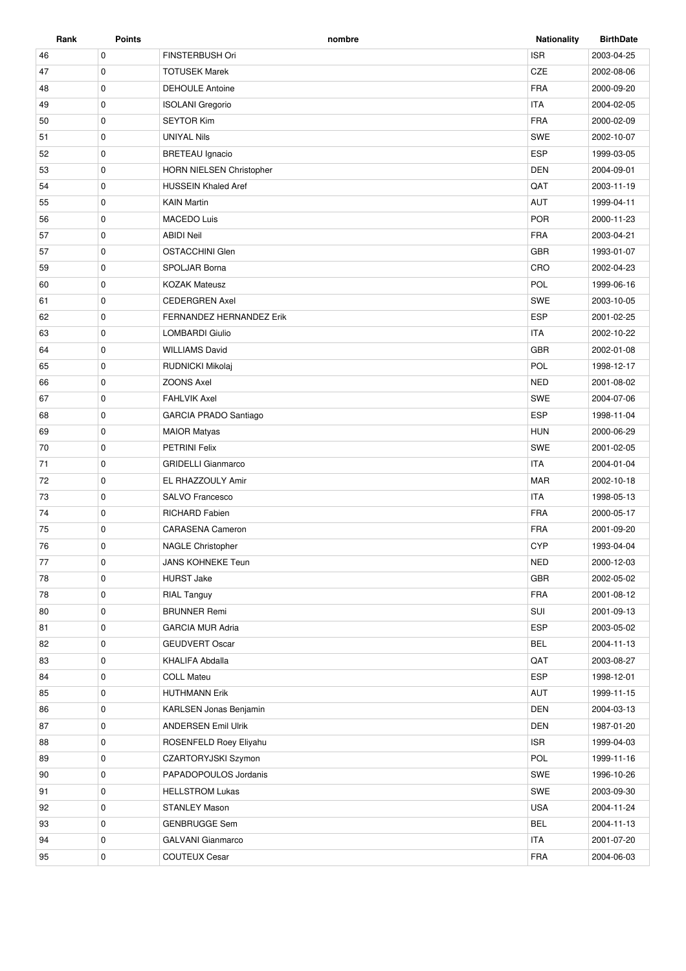| Rank | Points      | nombre                          | <b>Nationality</b> | <b>BirthDate</b> |
|------|-------------|---------------------------------|--------------------|------------------|
| 46   | $\mathbf 0$ | FINSTERBUSH Ori                 | <b>ISR</b>         | 2003-04-25       |
| 47   | $\mathbf 0$ | <b>TOTUSEK Marek</b>            | CZE                | 2002-08-06       |
| 48   | 0           | <b>DEHOULE Antoine</b>          | <b>FRA</b>         | 2000-09-20       |
| 49   | $\mathbf 0$ | <b>ISOLANI</b> Gregorio         | <b>ITA</b>         | 2004-02-05       |
| 50   | $\mathbf 0$ | <b>SEYTOR Kim</b>               | <b>FRA</b>         | 2000-02-09       |
| 51   | 0           | <b>UNIYAL Nils</b>              | <b>SWE</b>         | 2002-10-07       |
| 52   | $\mathbf 0$ | <b>BRETEAU</b> Ignacio          | <b>ESP</b>         | 1999-03-05       |
| 53   | $\mathbf 0$ | <b>HORN NIELSEN Christopher</b> | <b>DEN</b>         | 2004-09-01       |
| 54   | $\mathbf 0$ | <b>HUSSEIN Khaled Aref</b>      | QAT                | 2003-11-19       |
| 55   | $\mathbf 0$ | <b>KAIN Martin</b>              | <b>AUT</b>         | 1999-04-11       |
| 56   | 0           | <b>MACEDO Luis</b>              | <b>POR</b>         | 2000-11-23       |
| 57   | $\mathbf 0$ | <b>ABIDI Neil</b>               | <b>FRA</b>         | 2003-04-21       |
| 57   | $\mathbf 0$ | <b>OSTACCHINI Glen</b>          | <b>GBR</b>         | 1993-01-07       |
| 59   | 0           | SPOLJAR Borna                   | CRO                | 2002-04-23       |
| 60   | $\mathbf 0$ | <b>KOZAK Mateusz</b>            | POL                | 1999-06-16       |
| 61   | $\mathbf 0$ | <b>CEDERGREN Axel</b>           | <b>SWE</b>         | 2003-10-05       |
| 62   | 0           | FERNANDEZ HERNANDEZ Erik        | <b>ESP</b>         | 2001-02-25       |
| 63   | $\mathbf 0$ | <b>LOMBARDI Giulio</b>          | <b>ITA</b>         | 2002-10-22       |
| 64   | $\mathbf 0$ | <b>WILLIAMS David</b>           | <b>GBR</b>         | 2002-01-08       |
| 65   | $\mathbf 0$ | RUDNICKI Mikolaj                | POL                | 1998-12-17       |
| 66   | $\mathbf 0$ | <b>ZOONS Axel</b>               | <b>NED</b>         | 2001-08-02       |
| 67   | $\mathbf 0$ | <b>FAHLVIK Axel</b>             | SWE                | 2004-07-06       |
|      | $\mathbf 0$ |                                 | <b>ESP</b>         |                  |
| 68   |             | GARCIA PRADO Santiago           |                    | 1998-11-04       |
| 69   | $\mathbf 0$ | <b>MAIOR Matyas</b>             | <b>HUN</b>         | 2000-06-29       |
| 70   | $\mathbf 0$ | <b>PETRINI Felix</b>            | SWE                | 2001-02-05       |
| 71   | $\mathbf 0$ | <b>GRIDELLI Gianmarco</b>       | <b>ITA</b>         | 2004-01-04       |
| 72   | $\mathbf 0$ | EL RHAZZOULY Amir               | <b>MAR</b>         | 2002-10-18       |
| 73   | 0           | SALVO Francesco                 | <b>ITA</b>         | 1998-05-13       |
| 74   | $\mathbf 0$ | <b>RICHARD Fabien</b>           | <b>FRA</b>         | 2000-05-17       |
| 75   | $\mathbf 0$ | <b>CARASENA Cameron</b>         | <b>FRA</b>         | 2001-09-20       |
| 76   | $\mathbf 0$ | <b>NAGLE Christopher</b>        | <b>CYP</b>         | 1993-04-04       |
| 77   | $\mathbf 0$ | <b>JANS KOHNEKE Teun</b>        | <b>NED</b>         | 2000-12-03       |
| 78   | $\mathbf 0$ | <b>HURST Jake</b>               | GBR                | 2002-05-02       |
| 78   | $\mathbf 0$ | <b>RIAL Tanguy</b>              | <b>FRA</b>         | 2001-08-12       |
| 80   | $\mathbf 0$ | <b>BRUNNER Remi</b>             | SUI                | 2001-09-13       |
| 81   | 0           | <b>GARCIA MUR Adria</b>         | <b>ESP</b>         | 2003-05-02       |
| 82   | $\mathbf 0$ | <b>GEUDVERT Oscar</b>           | <b>BEL</b>         | 2004-11-13       |
| 83   | $\mathbf 0$ | KHALIFA Abdalla                 | QAT                | 2003-08-27       |
| 84   | 0           | <b>COLL Mateu</b>               | <b>ESP</b>         | 1998-12-01       |
| 85   | 0           | <b>HUTHMANN Erik</b>            | AUT                | 1999-11-15       |
| 86   | 0           | KARLSEN Jonas Benjamin          | <b>DEN</b>         | 2004-03-13       |
| 87   | $\mathbf 0$ | <b>ANDERSEN Emil Ulrik</b>      | DEN                | 1987-01-20       |
| 88   | 0           | ROSENFELD Roey Eliyahu          | <b>ISR</b>         | 1999-04-03       |
| 89   | 0           | CZARTORYJSKI Szymon             | POL                | 1999-11-16       |
| 90   | $\mathbf 0$ | PAPADOPOULOS Jordanis           | SWE                | 1996-10-26       |
| 91   | $\mathbf 0$ | <b>HELLSTROM Lukas</b>          | SWE                | 2003-09-30       |
| 92   | 0           | STANLEY Mason                   | USA                | 2004-11-24       |
| 93   | $\mathbf 0$ | <b>GENBRUGGE Sem</b>            | <b>BEL</b>         | 2004-11-13       |
| 94   | 0           | <b>GALVANI</b> Gianmarco        | <b>ITA</b>         | 2001-07-20       |
| 95   | 0           | <b>COUTEUX Cesar</b>            | <b>FRA</b>         | 2004-06-03       |
|      |             |                                 |                    |                  |